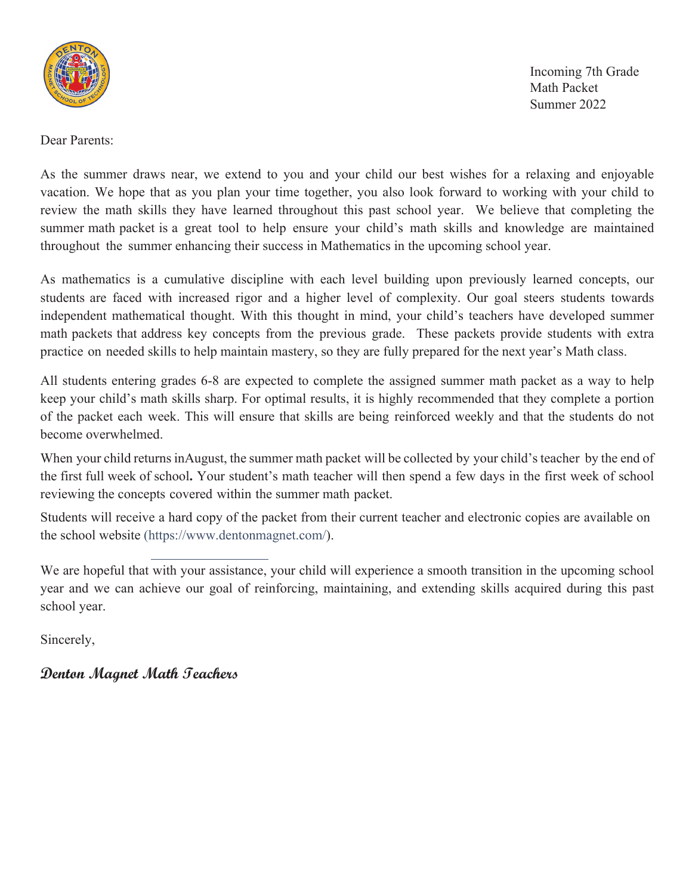

Incoming 7th Grade Math Packet Summer 2022

Dear Parents:

As the summer draws near, we extend to you and your child our best wishes for a relaxing and enjoyable vacation. We hope that as you plan your time together, you also look forward to working with your child to review the math skills they have learned throughout this past school year. We believe that completing the summer math packet is a great tool to help ensure your child's math skills and knowledge are maintained throughout the summer enhancing their success in Mathematics in the upcoming school year.

As mathematics is a cumulative discipline with each level building upon previously learned concepts, our students are faced with increased rigor and a higher level of complexity. Our goal steers students towards independent mathematical thought. With this thought in mind, your child's teachers have developed summer math packets that address key concepts from the previous grade. These packets provide students with extra practice on needed skills to help maintain mastery, so they are fully prepared for the next year's Math class.

All students entering grades 6-8 are expected to complete the assigned summer math packet as a way to help keep your child's math skills sharp. For optimal results, it is highly recommended that they complete a portion of the packet each week. This will ensure that skills are being reinforced weekly and that the students do not become overwhelmed.

When your child returns in August, the summer math packet will be collected by your child's teacher by the end of the first full week of school. Your student's math teacher will then spend a few days in the first week of school reviewing the concepts covered within the summer math packet.

Students will receive a hard copy of the packet from their current teacher and electronic copies are available on the school website (https://www.dentonmagnet.com/).

We are hopeful that with your assistance, your child will experience a smooth transition in the upcoming school year and we can achieve our goal of reinforcing, maintaining, and extending skills acquired during this past school year.

Sincerely,

**Denton Magnet Math Teachers**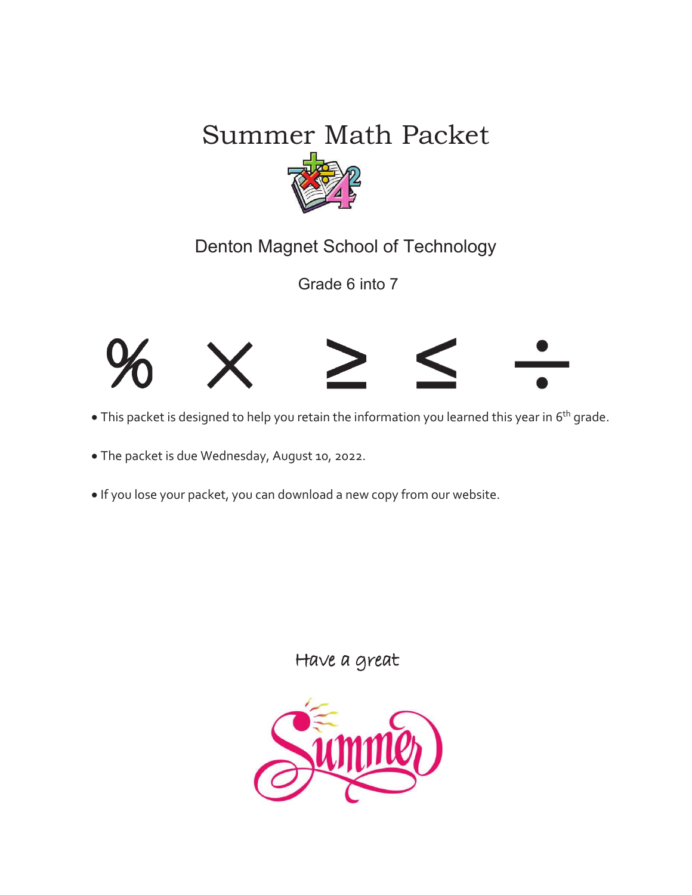## Summer Math Packet



Denton Magnet School of Technology

Grade 6 into 7



- This packet is designed to help you retain the information you learned this year in 6<sup>th</sup> grade.
- The packet is due Wednesday, August 10, 2022.
- If you lose your packet, you can download a new copy from our website.

Have a great

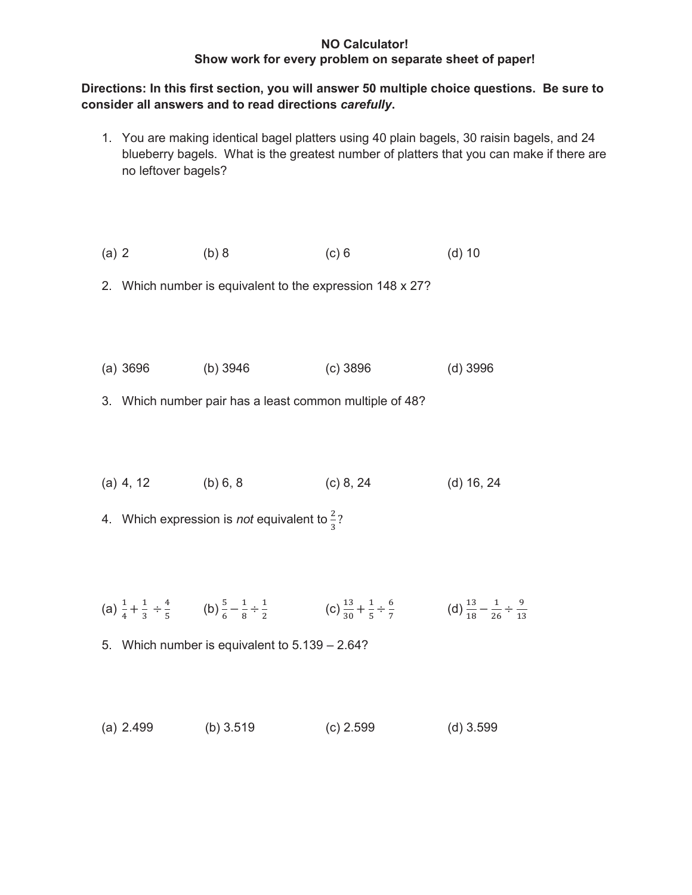## **NO Calculator!** Show work for every problem on separate sheet of paper!

## **Directions: In this first section, you will answer 50 multiple choice questions. Be sure to consider all answers and to read directions** *carefully***.**

1. You are making identical bagel platters using 40 plain bagels, 30 raisin bagels, and 24 blueberry bagels. What is the greatest number of platters that you can make if there are no leftover bagels?

(a) 2 (b) 8 (c) 6 (d) 10

- 2. Which number is equivalent to the expression 148 x 27?
- (a) 3696 (b) 3946 (c) 3896 (d) 3996
- 3. Which number pair has a least common multiple of 48?
- (a) 4, 12 (b) 6, 8 (c) 8, 24 (d) 16, 24
- 4. Which expression is *not* equivalent to  $\frac{2}{3}$ ?
- (a)  $\frac{1}{4} + \frac{1}{3} \div \frac{4}{5}$  $\frac{4}{5}$  (b)  $\frac{5}{6} - \frac{1}{8} \div \frac{1}{2}$  $\frac{1}{2}$  (c)  $\frac{13}{30} + \frac{1}{5} \div \frac{6}{7}$  $\frac{6}{7}$  (d)  $\frac{13}{18} - \frac{1}{26} \div \frac{9}{13}$ 13
- 5. Which number is equivalent to 5.139 2.64?
- (a) 2.499 (b) 3.519 (c) 2.599 (d) 3.599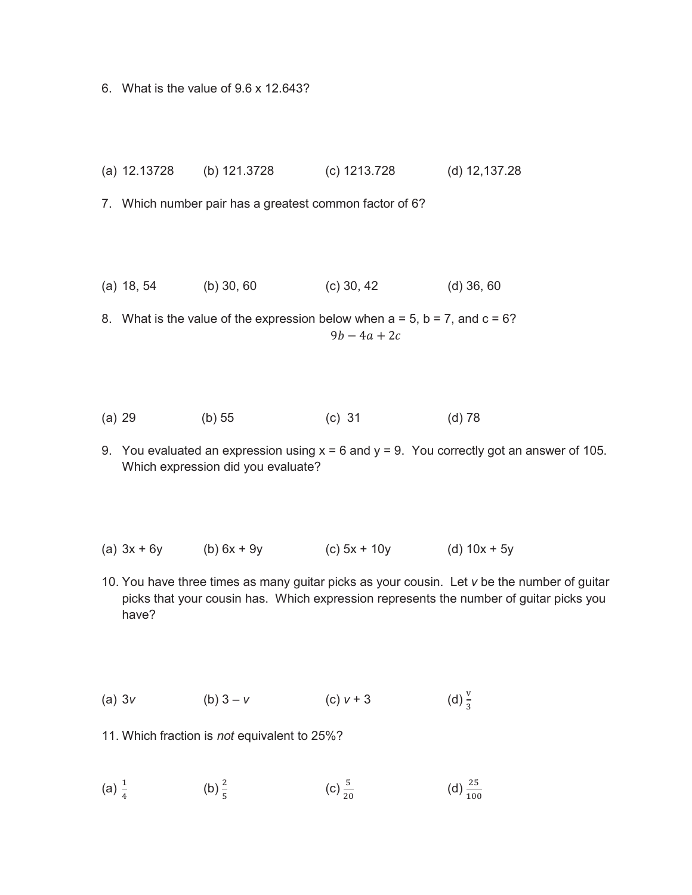- 6. What is the value of 9.6 x 12.643?
- (a) 12.13728 (b) 121.3728 (c) 1213.728 (d) 12,137.28

7. Which number pair has a greatest common factor of 6?

(a) 18, 54 (b) 30, 60 (c) 30, 42 (d) 36, 60

8. What is the value of the expression below when  $a = 5$ ,  $b = 7$ , and  $c = 6$ ?  $9b - 4a + 2c$ 

- (a) 29 (b) 55 (c) 31 (d) 78
- 9. You evaluated an expression using  $x = 6$  and  $y = 9$ . You correctly got an answer of 105. Which expression did you evaluate?
- (a)  $3x + 6y$  (b)  $6x + 9y$  (c)  $5x + 10y$  (d)  $10x + 5y$
- 10. You have three times as many guitar picks as your cousin. Let *v* be the number of guitar picks that your cousin has. Which expression represents the number of guitar picks you have?

(a) 
$$
3v
$$
 (b)  $3 - v$  (c)  $v + 3$  (d)  $\frac{v}{3}$ 

- 11. Which fraction is *not* equivalent to 25%?
- (a)  $\frac{1}{4}$  (b)  $\frac{2}{5}$ (c)  $\frac{5}{20}$  $rac{5}{20}$  (d)  $rac{25}{100}$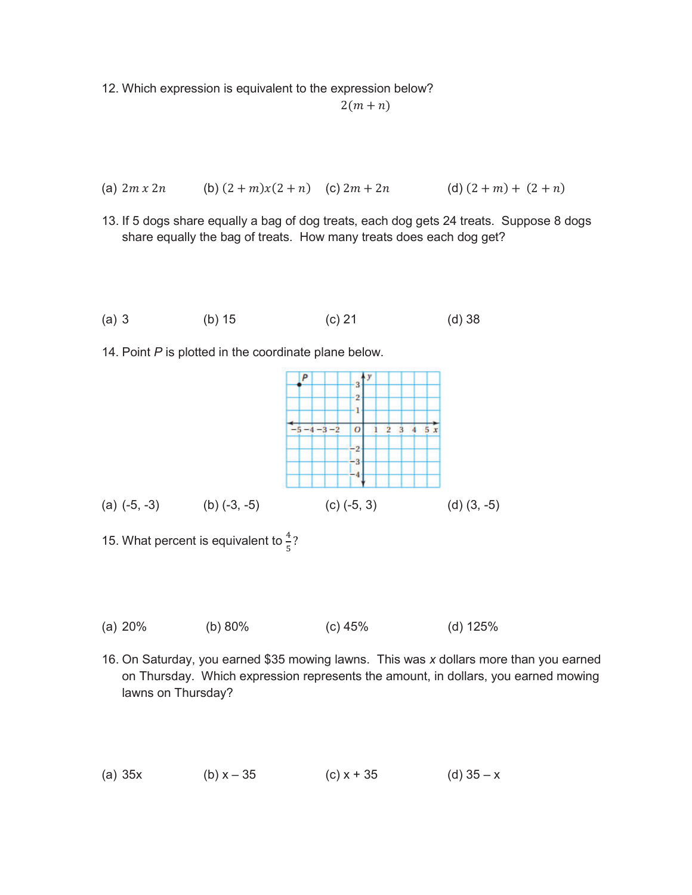12. Which expression is equivalent to the expression below?  $2(m + n)$ 

(a) 
$$
2m x 2n
$$
 (b)  $(2+m)x(2+n)$  (c)  $2m+2n$  (d)  $(2+m)+(2+n)$ 

13. If 5 dogs share equally a bag of dog treats, each dog gets 24 treats. Suppose 8 dogs share equally the bag of treats. How many treats does each dog get?

(a) 3 (b) 15 (c) 21 (d) 38

14. Point *P* is plotted in the coordinate plane below.



- (a) 20% (b) 80% (c) 45% (d) 125%
- 16. On Saturday, you earned \$35 mowing lawns. This was *x* dollars more than you earned on Thursday. Which expression represents the amount, in dollars, you earned mowing lawns on Thursday?

(a) 
$$
35x
$$
 (b)  $x - 35$  (c)  $x + 35$  (d)  $35 - x$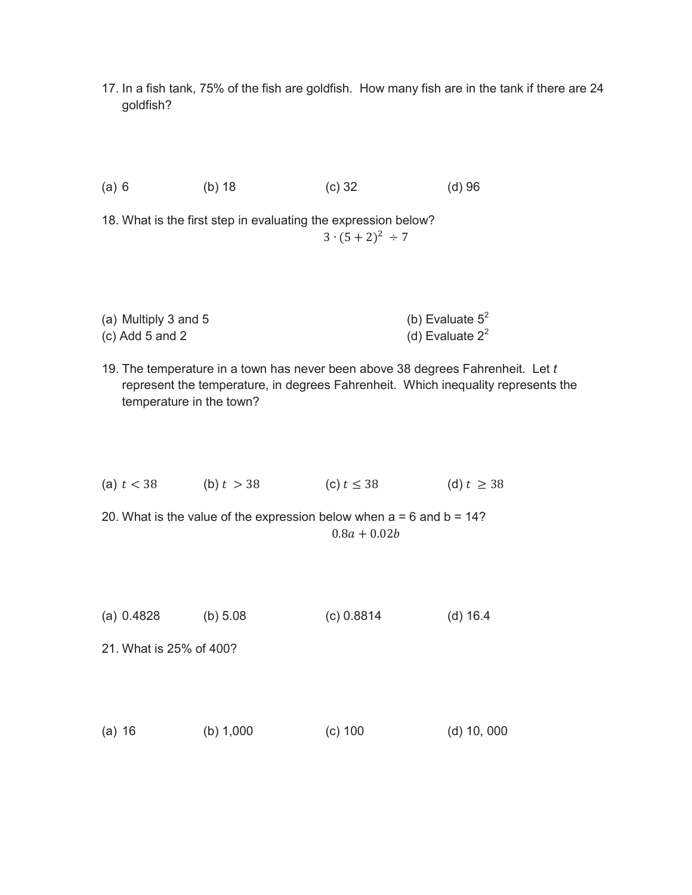17. In a fish tank, 75% of the fish are goldfish. How many fish are in the tank if there are 24 goldfish?

(a) 6 (b) 18 (c) 32 (d) 96

18. What is the first step in evaluating the expression below?  $3 \cdot (5 + 2)^2 \div 7$ 

| (a) Multiply 3 and 5 | (b) Evaluate $5^2$ |
|----------------------|--------------------|
| (c) Add $5$ and $2$  | (d) Evaluate $2^2$ |

19. The temperature in a town has never been above 38 degrees Fahrenheit. Let *t* represent the temperature, in degrees Fahrenheit. Which inequality represents the temperature in the town?

| (a) $t < 38$ | (b) $t > 38$                        | (c) $t \leq 38$                                                                             | (d) $t \ge 38$ |
|--------------|-------------------------------------|---------------------------------------------------------------------------------------------|----------------|
|              |                                     | 20. What is the value of the expression below when $a = 6$ and $b = 14$ ?<br>$0.8a + 0.02b$ |                |
| (a) 0.4828   | (b) 5.08<br>21. What is 25% of 400? | (c) 0.8814                                                                                  | $(d)$ 16.4     |
| $(a)$ 16     | (b) $1,000$                         | (c) 100                                                                                     | $(d)$ 10, 000  |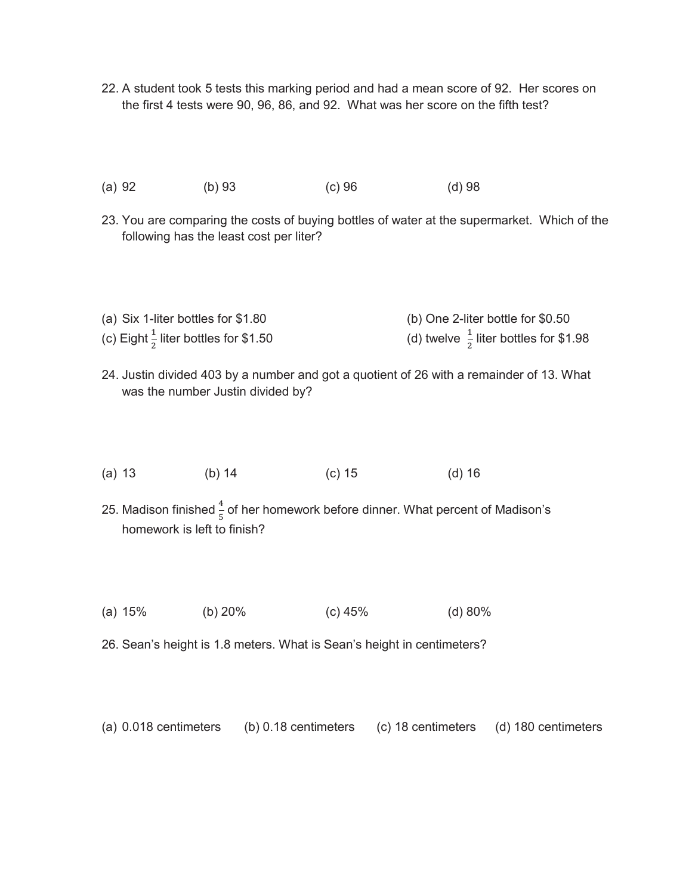- 22. A student took 5 tests this marking period and had a mean score of 92. Her scores on the first 4 tests were 90, 96, 86, and 92. What was her score on the fifth test?
- (a) 92 (b) 93 (c) 96 (d) 98
- 23. You are comparing the costs of buying bottles of water at the supermarket. Which of the following has the least cost per liter?
- (a) Six 1-liter bottles for \$1.80 (b) One 2-liter bottle for \$0.50 (c) Eight  $\frac{1}{2}$  liter bottles for \$1.50 (d) twelve  $\frac{1}{2}$  $\frac{1}{2}$  liter bottles for \$1.98
- 24. Justin divided 403 by a number and got a quotient of 26 with a remainder of 13. What was the number Justin divided by?
- (a) 13 (b) 14 (c) 15 (d) 16
- 25. Madison finished  $\frac{4}{5}$  of her homework before dinner. What percent of Madison's homework is left to finish?
- (a) 15% (b) 20% (c) 45% (d) 80%
- 26. Sean's height is 1.8 meters. What is Sean's height in centimeters?
- (a) 0.018 centimeters (b) 0.18 centimeters (c) 18 centimeters (d) 180 centimeters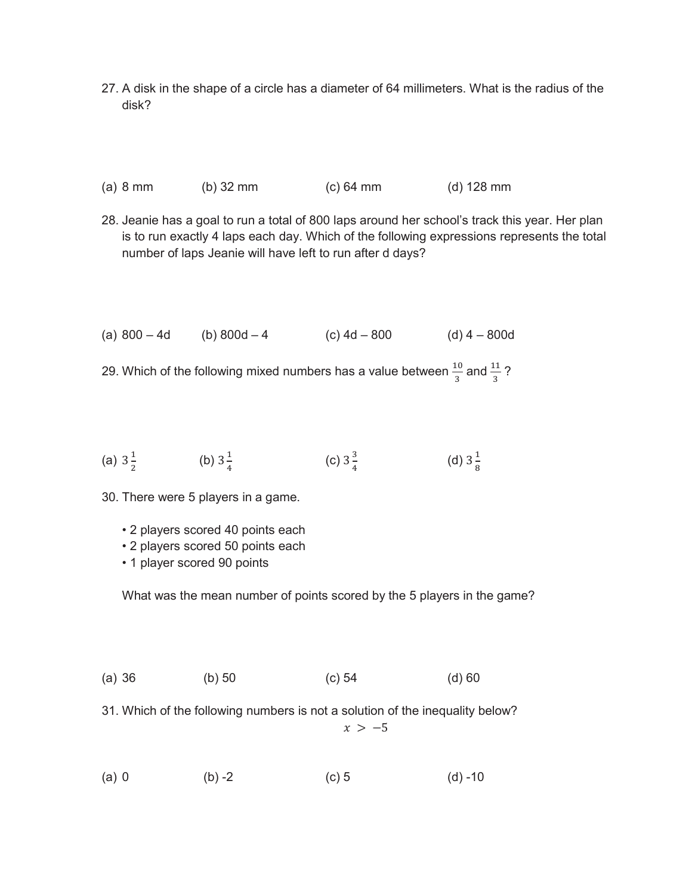27. A disk in the shape of a circle has a diameter of 64 millimeters. What is the radius of the disk?

| (a) 8 mm<br>$(b)$ 32 mm<br>$(c)$ 64 mm | $(d)$ 128 mm |
|----------------------------------------|--------------|
|----------------------------------------|--------------|

28. Jeanie has a goal to run a total of 800 laps around her school's track this year. Her plan is to run exactly 4 laps each day. Which of the following expressions represents the total number of laps Jeanie will have left to run after d days?

(a)  $800 - 4d$  (b)  $800d - 4$  (c)  $4d - 800$  (d)  $4 - 800d$ 

- 29. Which of the following mixed numbers has a value between  $\frac{10}{3}$  and  $\frac{11}{3}$  ?
- (a)  $3\frac{1}{2}$  (b)  $3\frac{1}{4}$  (c)  $3\frac{3}{4}$  (d)  $3\frac{1}{8}$
- 30. There were 5 players in a game.
	- 2 players scored 40 points each
	- 2 players scored 50 points each
	- 1 player scored 90 points

What was the mean number of points scored by the 5 players in the game?

- (a) 36 (b) 50 (c) 54 (d) 60
- 31. Which of the following numbers is not a solution of the inequality below?  $x > -5$
- (a) 0 (b) -2 (c) 5 (d) -10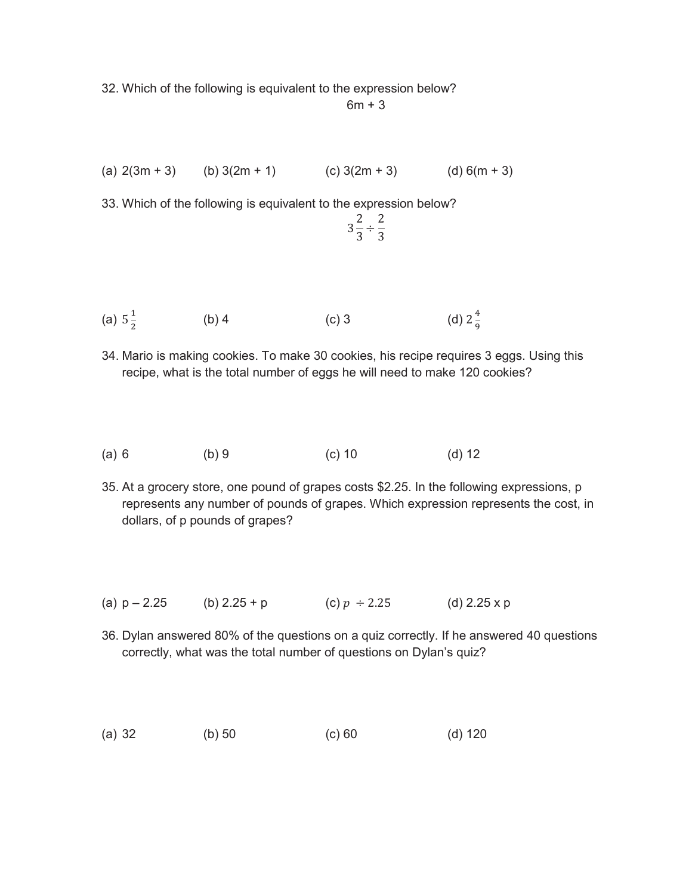32. Which of the following is equivalent to the expression below?  $6m + 3$ 

(a)  $2(3m + 3)$  (b)  $3(2m + 1)$  (c)  $3(2m + 3)$  (d)  $6(m + 3)$ 33. Which of the following is equivalent to the expression below? ͵  $\overline{c}$  $\frac{1}{3}$  ÷  $\overline{c}$ ͵ (a)  $5\frac{1}{2}$  $(b) 4$  (c) 3 (d)  $2\frac{4}{9}$ 

- 34. Mario is making cookies. To make 30 cookies, his recipe requires 3 eggs. Using this recipe, what is the total number of eggs he will need to make 120 cookies?
- (a) 6 (b) 9 (c) 10 (d) 12
- 35. At a grocery store, one pound of grapes costs \$2.25. In the following expressions, p represents any number of pounds of grapes. Which expression represents the cost, in dollars, of p pounds of grapes?
- (a)  $p 2.25$  (b)  $2.25 + p$  (c)  $p \div 2.25$  (d)  $2.25 \times p$
- 36. Dylan answered 80% of the questions on a quiz correctly. If he answered 40 questions correctly, what was the total number of questions on Dylan's quiz?
- (a) 32 (b) 50 (c) 60 (d) 120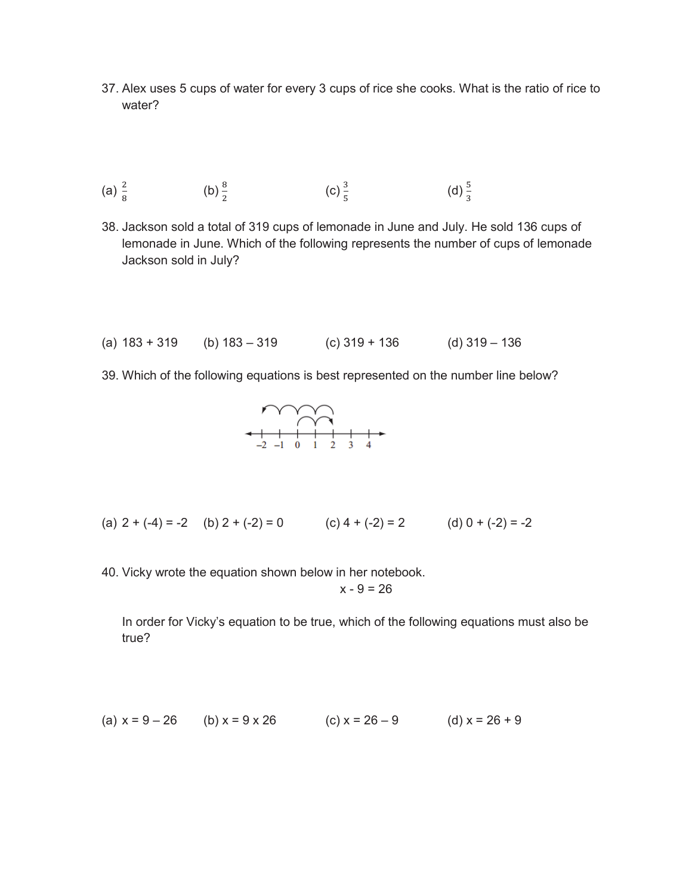37. Alex uses 5 cups of water for every 3 cups of rice she cooks. What is the ratio of rice to water?

(a) 
$$
\frac{2}{8}
$$
 (b)  $\frac{8}{2}$  (c)  $\frac{3}{5}$  (d)  $\frac{5}{3}$ 

- 38. Jackson sold a total of 319 cups of lemonade in June and July. He sold 136 cups of lemonade in June. Which of the following represents the number of cups of lemonade Jackson sold in July?
- (a)  $183 + 319$  (b)  $183 319$  (c)  $319 + 136$  (d)  $319 136$
- 39. Which of the following equations is best represented on the number line below?



(a) 
$$
2 + (-4) = -2
$$
 (b)  $2 + (-2) = 0$  (c)  $4 + (-2) = 2$  (d)  $0 + (-2) = -2$ 

40. Vicky wrote the equation shown below in her notebook.

$$
x - 9 = 26
$$

In order for Vicky's equation to be true, which of the following equations must also be true?

(a) 
$$
x = 9 - 26
$$
 (b)  $x = 9 \times 26$  (c)  $x = 26 - 9$  (d)  $x = 26 + 9$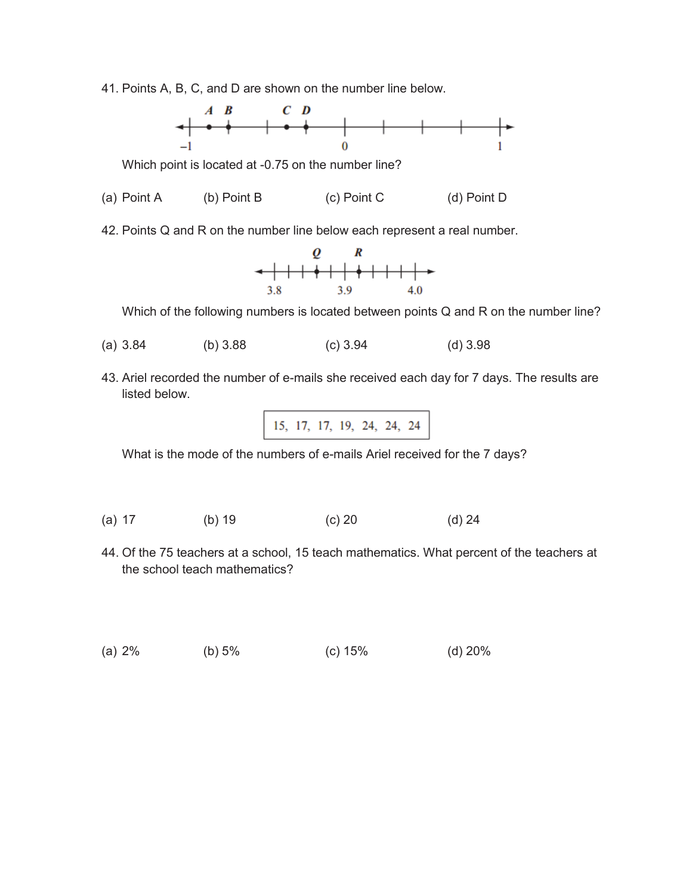41. Points A, B, C, and D are shown on the number line below.



Which point is located at -0.75 on the number line?

- (a) Point A (b) Point B (c) Point C (d) Point D
- 42. Points Q and R on the number line below each represent a real number.



Which of the following numbers is located between points Q and R on the number line?

- (a) 3.84 (b) 3.88 (c) 3.94 (d) 3.98
- 43. Ariel recorded the number of e-mails she received each day for 7 days. The results are listed below.

| 15, 17, 17, 19, 24, 24, 24 |  |  |
|----------------------------|--|--|
|----------------------------|--|--|

What is the mode of the numbers of e-mails Ariel received for the 7 days?

- (a) 17 (b) 19 (c) 20 (d) 24
- 44. Of the 75 teachers at a school, 15 teach mathematics. What percent of the teachers at the school teach mathematics?
- (a) 2% (b) 5% (c) 15% (d) 20%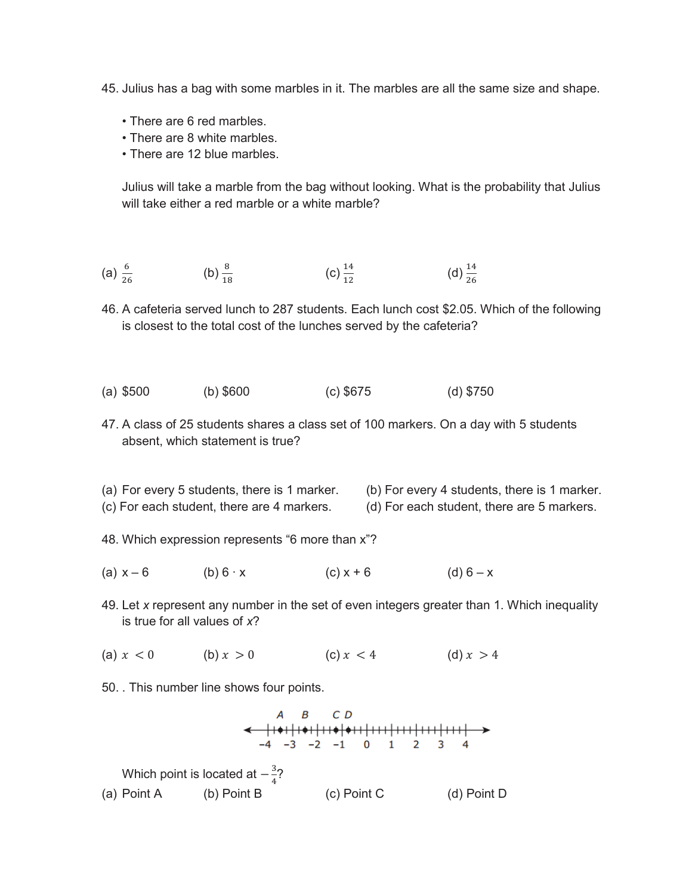45. Julius has a bag with some marbles in it. The marbles are all the same size and shape.

- There are 6 red marbles.
- There are 8 white marbles.
- There are 12 blue marbles.

Julius will take a marble from the bag without looking. What is the probability that Julius will take either a red marble or a white marble?

- (a)  $\frac{6}{26}$  (b)  $\frac{8}{18}$  $\frac{8}{18}$  (c)  $\frac{14}{12}$  (d)  $\frac{14}{26}$ (d)  $rac{14}{26}$
- 46. A cafeteria served lunch to 287 students. Each lunch cost \$2.05. Which of the following is closest to the total cost of the lunches served by the cafeteria?
- (a) \$500 (b) \$600 (c) \$675 (d) \$750
- 47. A class of 25 students shares a class set of 100 markers. On a day with 5 students absent, which statement is true?
- (a) For every 5 students, there is 1 marker. (b) For every 4 students, there is 1 marker. (c) For each student, there are 4 markers. (d) For each student, there are 5 markers.
- 48. Which expression represents "6 more than x"?
- (a)  $x 6$  (b)  $6 \cdot x$  (c)  $x + 6$  (d)  $6 x$
- 49. Let *x* represent any number in the set of even integers greater than 1. Which inequality is true for all values of *x*?

(a)  $x < 0$  (b)  $x > 0$  (c)  $x < 4$  (d)  $x > 4$ 

50. . This number line shows four points.

$$
A \quad B \quad CD
$$
  
\n
$$
\leftarrow
$$
  
\n
$$
+ \leftarrow
$$
  
\n
$$
+ \leftarrow
$$
  
\n
$$
+ \leftarrow
$$
  
\n
$$
+ \leftarrow
$$
  
\n
$$
+ \leftarrow
$$
  
\n
$$
+ \leftarrow
$$
  
\n
$$
+ \leftarrow
$$
  
\n
$$
+ \leftarrow
$$
  
\n
$$
+ \leftarrow
$$
  
\n
$$
+ \leftarrow
$$
  
\n
$$
+ \leftarrow
$$
  
\n
$$
+ \leftarrow
$$
  
\n
$$
+ \leftarrow
$$
  
\n
$$
+ \leftarrow
$$
  
\n
$$
+ \leftarrow
$$
  
\n
$$
+ \leftarrow
$$
  
\n
$$
+ \leftarrow
$$
  
\n
$$
+ \leftarrow
$$
  
\n
$$
+ \leftarrow
$$
  
\n
$$
+ \leftarrow
$$
  
\n
$$
+ \leftarrow
$$
  
\n
$$
+ \leftarrow
$$
  
\n
$$
+ \leftarrow
$$
  
\n
$$
+ \leftarrow
$$
  
\n
$$
+ \leftarrow
$$
  
\n
$$
+ \leftarrow
$$
  
\n
$$
+ \leftarrow
$$
  
\n
$$
+ \leftarrow
$$
  
\n
$$
+ \leftarrow
$$
  
\n
$$
+ \leftarrow
$$
  
\n
$$
+ \leftarrow
$$
  
\n
$$
+ \leftarrow
$$
  
\n
$$
+ \leftarrow
$$
  
\n
$$
+ \leftarrow
$$
  
\n
$$
+ \leftarrow
$$
  
\n
$$
+ \leftarrow
$$
  
\n
$$
+ \leftarrow
$$
  
\n
$$
+ \leftarrow
$$
  
\n
$$
+ \leftarrow
$$
  
\n
$$
+ \leftarrow
$$
  
\n
$$
+ \leftarrow
$$
  
\n
$$
+ \leftarrow
$$
  
\n
$$
+ \leftarrow
$$
  
\n
$$
+ \leftarrow
$$
  
\n
$$
+ \leftarrow
$$
  
\n
$$
+ \leftarrow
$$

Which point is located at  $-\frac{3}{4}$ ? (a) Point A (b) Point B (c) Point C (d) Point D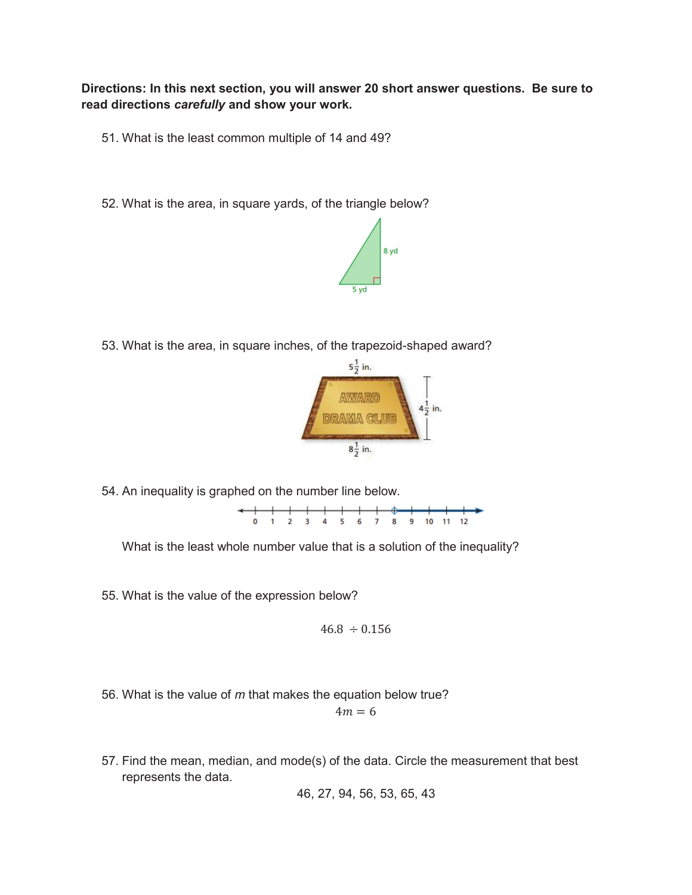**Directions: In this next section, you will answer 20 short answer questions. Be sure to read directions** *carefully* **and show your work.** 

- 51. What is the least common multiple of 14 and 49?
- 52. What is the area, in square yards, of the triangle below?



53. What is the area, in square inches, of the trapezoid-shaped award?



54. An inequality is graphed on the number line below.

What is the least whole number value that is a solution of the inequality?

55. What is the value of the expression below?

 $46.8 \div 0.156$ 

56. What is the value of *m* that makes the equation below true?

$$
4m=6
$$

57. Find the mean, median, and mode(s) of the data. Circle the measurement that best represents the data.

```
46, 27, 94, 56, 53, 65, 43
```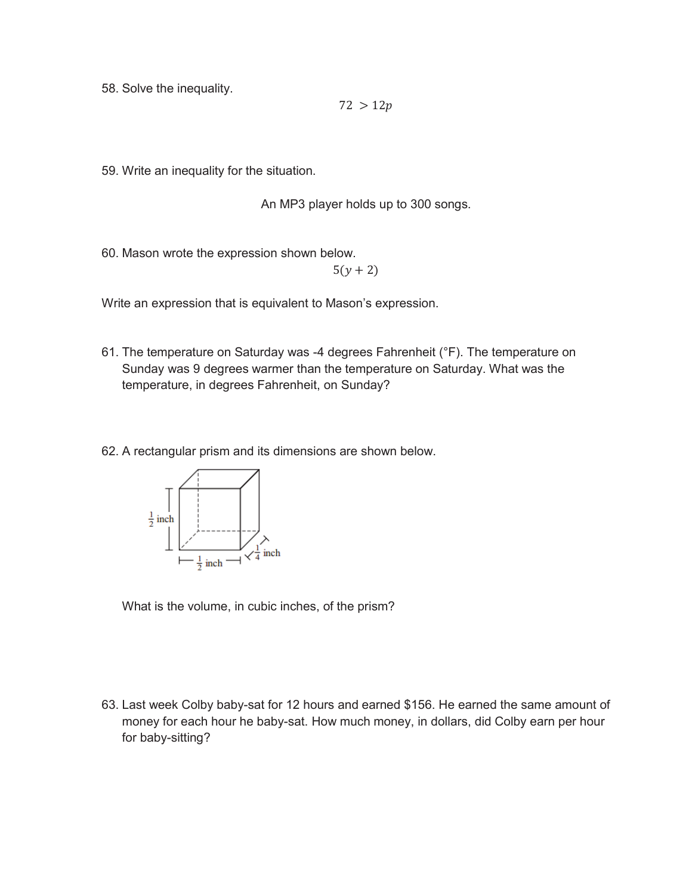58. Solve the inequality.

 $72 > 12p$ 

59. Write an inequality for the situation.

An MP3 player holds up to 300 songs.

60. Mason wrote the expression shown below.

 $5(y + 2)$ 

Write an expression that is equivalent to Mason's expression.

- 61. The temperature on Saturday was -4 degrees Fahrenheit (°F). The temperature on Sunday was 9 degrees warmer than the temperature on Saturday. What was the temperature, in degrees Fahrenheit, on Sunday?
- 62. A rectangular prism and its dimensions are shown below.



What is the volume, in cubic inches, of the prism?

63. Last week Colby baby-sat for 12 hours and earned \$156. He earned the same amount of money for each hour he baby-sat. How much money, in dollars, did Colby earn per hour for baby-sitting?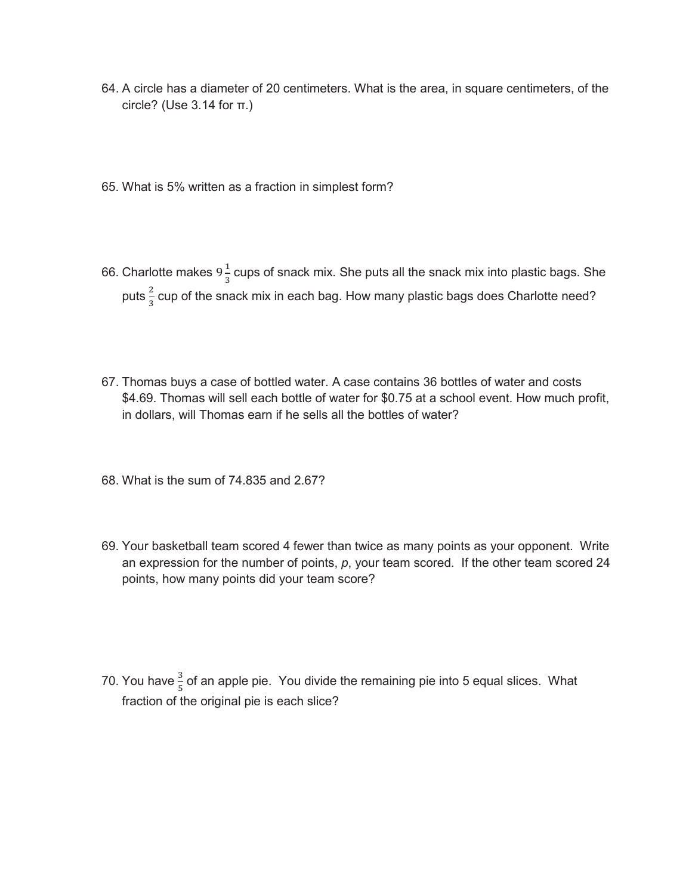- 64. A circle has a diameter of 20 centimeters. What is the area, in square centimeters, of the  $circle?$  (Use 3.14 for  $\pi$ .)
- 65. What is 5% written as a fraction in simplest form?
- 66. Charlotte makes 9 $\frac{1}{3}$  cups of snack mix. She puts all the snack mix into plastic bags. She puts $\frac{2}{3}$  cup of the snack mix in each bag. How many plastic bags does Charlotte need?
- 67. Thomas buys a case of bottled water. A case contains 36 bottles of water and costs \$4.69. Thomas will sell each bottle of water for \$0.75 at a school event. How much profit, in dollars, will Thomas earn if he sells all the bottles of water?
- 68. What is the sum of 74.835 and 2.67?
- 69. Your basketball team scored 4 fewer than twice as many points as your opponent. Write an expression for the number of points, *p*, your team scored. If the other team scored 24 points, how many points did your team score?
- 70. You have  $\frac{3}{5}$  of an apple pie. You divide the remaining pie into 5 equal slices. What fraction of the original pie is each slice?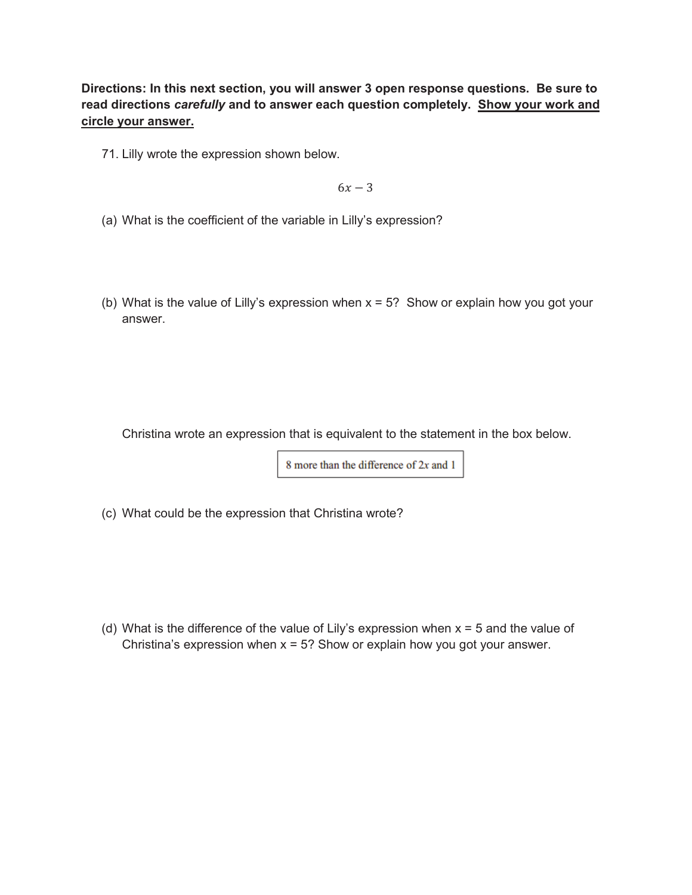**Directions: In this next section, you will answer 3 open response questions. Be sure to read directions** *carefully* **and to answer each question completely. Show your work and circle your answer.**

71. Lilly wrote the expression shown below.

 $6x - 3$ 

- (a) What is the coefficient of the variable in Lilly's expression?
- (b) What is the value of Lilly's expression when  $x = 5$ ? Show or explain how you got your answer.

Christina wrote an expression that is equivalent to the statement in the box below.

8 more than the difference of 2x and 1

(c) What could be the expression that Christina wrote?

(d) What is the difference of the value of Lily's expression when  $x = 5$  and the value of Christina's expression when  $x = 5$ ? Show or explain how you got your answer.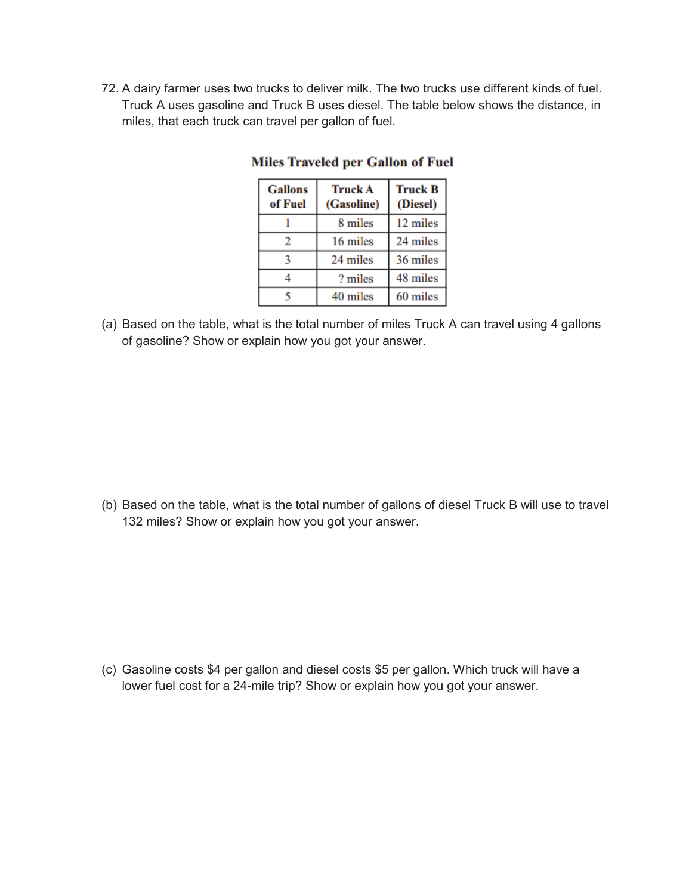72. A dairy farmer uses two trucks to deliver milk. The two trucks use different kinds of fuel. Truck A uses gasoline and Truck B uses diesel. The table below shows the distance, in miles, that each truck can travel per gallon of fuel.

| <b>Gallons</b><br>of Fuel | <b>Truck A</b><br>(Gasoline) | <b>Truck B</b><br>(Diesel) |
|---------------------------|------------------------------|----------------------------|
|                           | 8 miles                      | 12 miles                   |
| 2                         | 16 miles                     | 24 miles                   |
|                           | 24 miles                     | 36 miles                   |
|                           | ? miles                      | 48 miles                   |
|                           | 40 miles                     | 60 miles                   |

## **Miles Traveled per Gallon of Fuel**

(a) Based on the table, what is the total number of miles Truck A can travel using 4 gallons of gasoline? Show or explain how you got your answer.

(b) Based on the table, what is the total number of gallons of diesel Truck B will use to travel 132 miles? Show or explain how you got your answer.

(c) Gasoline costs \$4 per gallon and diesel costs \$5 per gallon. Which truck will have a lower fuel cost for a 24-mile trip? Show or explain how you got your answer.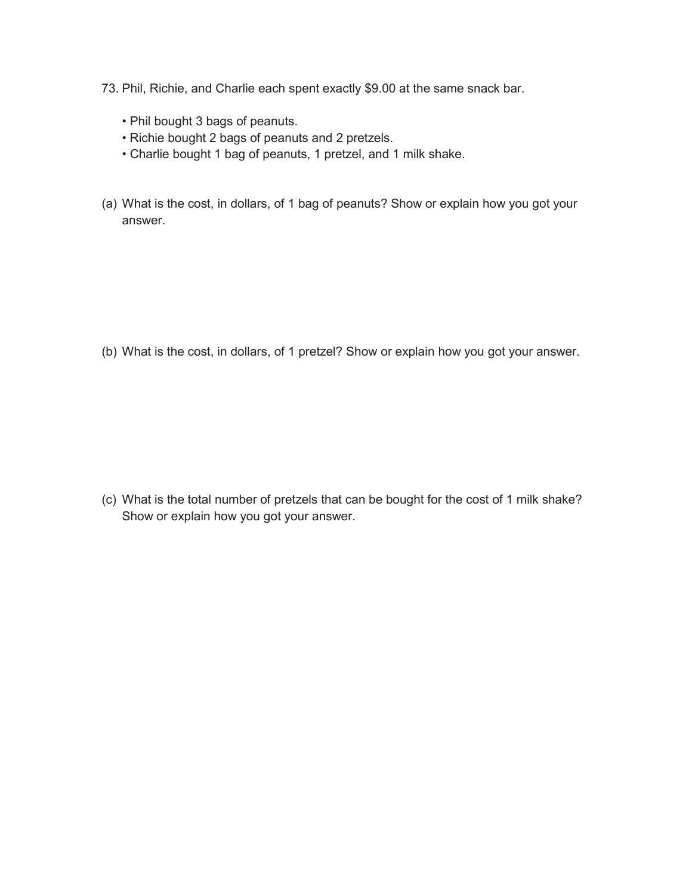- 73. Phil, Richie, and Charlie each spent exactly \$9.00 at the same snack bar.
	- Phil bought 3 bags of peanuts.
	- Richie bought 2 bags of peanuts and 2 pretzels.
	- Charlie bought 1 bag of peanuts, 1 pretzel, and 1 milk shake.
- (a) What is the cost, in dollars, of 1 bag of peanuts? Show or explain how you got your answer.

(b) What is the cost, in dollars, of 1 pretzel? Show or explain how you got your answer.

(c) What is the total number of pretzels that can be bought for the cost of 1 milk shake? Show or explain how you got your answer.